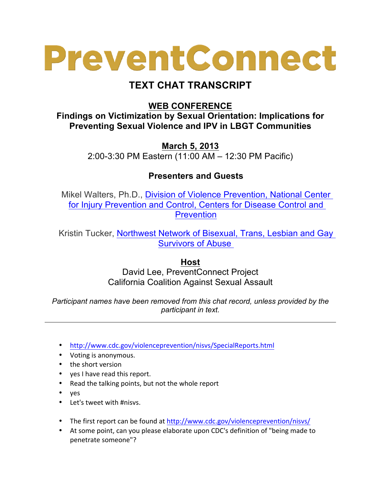## PreventConnect

## **TEXT CHAT TRANSCRIPT**

**WEB CONFERENCE**

**Findings on Victimization by Sexual Orientation: Implications for Preventing Sexual Violence and IPV in LBGT Communities**

> **March 5, 2013** 2:00-3:30 PM Eastern (11:00 AM – 12:30 PM Pacific)

## **Presenters and Guests**

Mikel Walters, Ph.D., Division of Violence Prevention, National Center for Injury Prevention and Control, Centers for Disease Control and **Prevention** 

Kristin Tucker, Northwest Network of Bisexual, Trans, Lesbian and Gay Survivors of Abuse

## **Host**

David Lee, PreventConnect Project California Coalition Against Sexual Assault

*Participant names have been removed from this chat record, unless provided by the participant in text.*

- http://www.cdc.gov/violenceprevention/nisvs/SpecialReports.html
- Voting is anonymous.
- the short version
- yes I have read this report.
- Read the talking points, but not the whole report
- yes
- Let's tweet with #nisvs.
- The first report can be found at http://www.cdc.gov/violenceprevention/nisvs/
- At some point, can you please elaborate upon CDC's definition of "being made to penetrate someone"?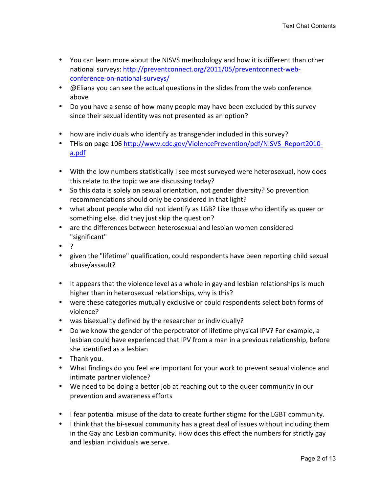- You can learn more about the NISVS methodology and how it is different than other national surveys: http://preventconnect.org/2011/05/preventconnect-webconference-on-national-surveys/
- @ Eliana you can see the actual questions in the slides from the web conference above
- Do you have a sense of how many people may have been excluded by this survey since their sexual identity was not presented as an option?
- how are individuals who identify as transgender included in this survey?
- THis on page 106 http://www.cdc.gov/ViolencePrevention/pdf/NISVS\_Report2010a.pdf
- With the low numbers statistically I see most surveyed were heterosexual, how does this relate to the topic we are discussing today?
- So this data is solely on sexual orientation, not gender diversity? So prevention recommendations should only be considered in that light?
- what about people who did not identify as LGB? Like those who identify as queer or something else. did they just skip the question?
- are the differences between heterosexual and lesbian women considered "significant"
- $\bullet$
- given the "lifetime" qualification, could respondents have been reporting child sexual abuse/assault?
- It appears that the violence level as a whole in gay and lesbian relationships is much higher than in heterosexual relationships, why is this?
- were these categories mutually exclusive or could respondents select both forms of violence?
- was bisexuality defined by the researcher or individually?
- Do we know the gender of the perpetrator of lifetime physical IPV? For example, a lesbian could have experienced that IPV from a man in a previous relationship, before she identified as a lesbian
- Thank you.
- What findings do you feel are important for your work to prevent sexual violence and intimate partner violence?
- We need to be doing a better job at reaching out to the queer community in our prevention and awareness efforts
- I fear potential misuse of the data to create further stigma for the LGBT community.
- I think that the bi-sexual community has a great deal of issues without including them in the Gay and Lesbian community. How does this effect the numbers for strictly gay and lesbian individuals we serve.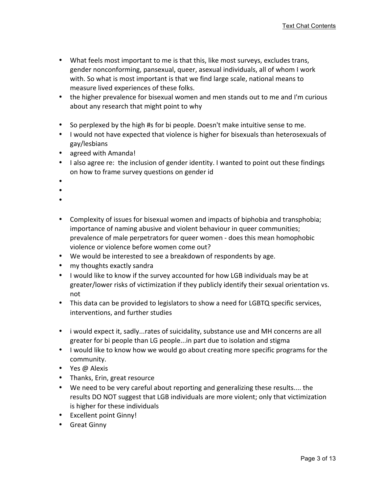- What feels most important to me is that this, like most surveys, excludes trans, gender nonconforming, pansexual, queer, asexual individuals, all of whom I work with. So what is most important is that we find large scale, national means to measure lived experiences of these folks.
- the higher prevalence for bisexual women and men stands out to me and I'm curious about any research that might point to why
- So perplexed by the high #s for bi people. Doesn't make intuitive sense to me.
- I would not have expected that violence is higher for bisexuals than heterosexuals of gay/lesbians
- agreed with Amanda!
- I also agree re: the inclusion of gender identity. I wanted to point out these findings on how to frame survey questions on gender id
- •
- •
- 
- •
- Complexity of issues for bisexual women and impacts of biphobia and transphobia; importance of naming abusive and violent behaviour in queer communities; prevalence of male perpetrators for queer women - does this mean homophobic violence or violence before women come out?
- We would be interested to see a breakdown of respondents by age.
- my thoughts exactly sandra
- I would like to know if the survey accounted for how LGB individuals may be at greater/lower risks of victimization if they publicly identify their sexual orientation vs. not
- This data can be provided to legislators to show a need for LGBTQ specific services, interventions, and further studies
- i would expect it, sadly...rates of suicidality, substance use and MH concerns are all greater for bi people than LG people...in part due to isolation and stigma
- I would like to know how we would go about creating more specific programs for the community.
- Yes @ Alexis
- Thanks, Erin, great resource
- We need to be very careful about reporting and generalizing these results.... the results DO NOT suggest that LGB individuals are more violent; only that victimization is higher for these individuals
- Excellent point Ginny!
- Great Ginny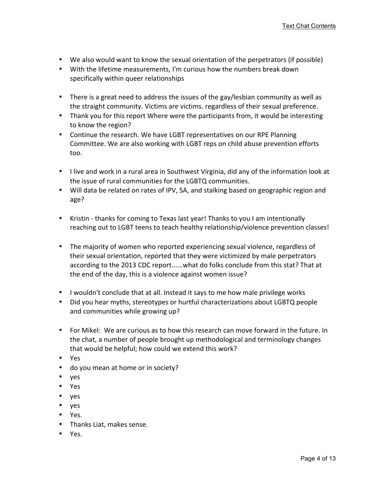- We also would want to know the sexual orientation of the perpetrators (if possible)
- With the lifetime measurements, I'm curious how the numbers break down specifically within queer relationships
- There is a great need to address the issues of the gay/lesbian community as well as the straight community. Victims are victims. regardless of their sexual preference.
- Thank you for this report Where were the participants from, it would be interesting to know the region?
- Continue the research. We have LGBT representatives on our RPE Planning Committee. We are also working with LGBT reps on child abuse prevention efforts too.
- I live and work in a rural area in Southwest Virginia, did any of the information look at the issue of rural communities for the LGBTQ communities.
- Will data be related on rates of IPV, SA, and stalking based on geographic region and age?
- Kristin thanks for coming to Texas last year! Thanks to you I am intentionally reaching out to LGBT teens to teach healthy relationship/violence prevention classes!
- The majority of women who reported experiencing sexual violence, regardless of their sexual orientation, reported that they were victimized by male perpetrators according to the 2013 CDC report......what do folks conclude from this stat? That at the end of the day, this is a violence against women issue?
- I wouldn't conclude that at all. Instead it says to me how male privilege works
- Did you hear myths, stereotypes or hurtful characterizations about LGBTQ people and communities while growing up?
- For Mikel: We are curious as to how this research can move forward in the future. In the chat, a number of people brought up methodological and terminology changes that would be helpful; how could we extend this work?
- Yes
- do you mean at home or in society?
- yes
- Yes
- yes
- yes
- Yes.
- Thanks Liat, makes sense.
- Yes.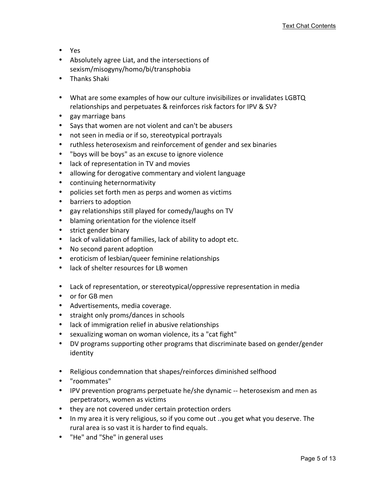- Yes
- Absolutely agree Liat, and the intersections of sexism/misogyny/homo/bi/transphobia
- Thanks Shaki
- What are some examples of how our culture invisibilizes or invalidates LGBTQ relationships and perpetuates & reinforces risk factors for IPV & SV?
- gay marriage bans
- Says that women are not violent and can't be abusers
- not seen in media or if so, stereotypical portrayals
- ruthless heterosexism and reinforcement of gender and sex binaries
- "boys will be boys" as an excuse to ignore violence
- lack of representation in TV and movies
- allowing for derogative commentary and violent language
- continuing heternormativity
- policies set forth men as perps and women as victims
- barriers to adoption
- gay relationships still played for comedy/laughs on TV
- blaming orientation for the violence itself
- strict gender binary
- lack of validation of families, lack of ability to adopt etc.
- No second parent adoption
- eroticism of lesbian/queer feminine relationships
- lack of shelter resources for LB women
- Lack of representation, or stereotypical/oppressive representation in media
- or for GB men
- Advertisements, media coverage.
- straight only proms/dances in schools
- lack of immigration relief in abusive relationships
- sexualizing woman on woman violence, its a "cat fight"
- DV programs supporting other programs that discriminate based on gender/gender identity
- Religious condemnation that shapes/reinforces diminished selfhood
- "roommates"
- IPV prevention programs perpetuate he/she dynamic -- heterosexism and men as perpetrators, women as victims
- they are not covered under certain protection orders
- In my area it is very religious, so if you come out ..you get what you deserve. The rural area is so vast it is harder to find equals.
- "He" and "She" in general uses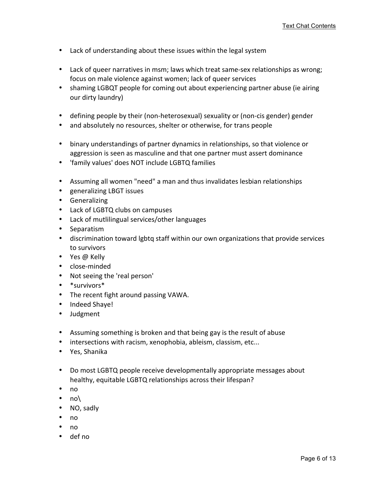- Lack of understanding about these issues within the legal system
- Lack of queer narratives in msm; laws which treat same-sex relationships as wrong; focus on male violence against women; lack of queer services
- shaming LGBQT people for coming out about experiencing partner abuse (ie airing our dirty laundry)
- defining people by their (non-heterosexual) sexuality or (non-cis gender) gender
- and absolutely no resources, shelter or otherwise, for trans people
- binary understandings of partner dynamics in relationships, so that violence or aggression is seen as masculine and that one partner must assert dominance
- 'family values' does NOT include LGBTQ families
- Assuming all women "need" a man and thus invalidates lesbian relationships
- generalizing LBGT issues
- Generalizing
- Lack of LGBTQ clubs on campuses
- Lack of mutlilingual services/other languages
- Separatism
- discrimination toward lgbtq staff within our own organizations that provide services to survivors
- Yes @ Kelly
- close-minded
- Not seeing the 'real person'
- \*survivors\*
- The recent fight around passing VAWA.
- Indeed Shaye!
- Judgment
- Assuming something is broken and that being gay is the result of abuse
- intersections with racism, xenophobia, ableism, classism, etc...
- Yes, Shanika
- Do most LGBTQ people receive developmentally appropriate messages about healthy, equitable LGBTQ relationships across their lifespan?
- no
- no\
- NO, sadly
- no
- no
- def no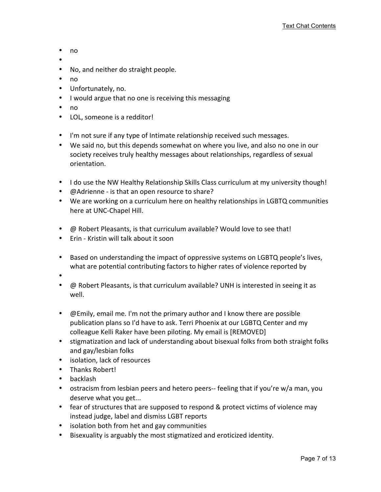- no
- • No, and neither do straight people.
- no
- Unfortunately, no.
- I would argue that no one is receiving this messaging
- no
- LOL, someone is a redditor!
- I'm not sure if any type of Intimate relationship received such messages.
- We said no, but this depends somewhat on where you live, and also no one in our society receives truly healthy messages about relationships, regardless of sexual orientation.
- I do use the NW Healthy Relationship Skills Class curriculum at my university though!
- @Adrienne is that an open resource to share?
- We are working on a curriculum here on healthy relationships in LGBTQ communities here at UNC-Chapel Hill.
- @ Robert Pleasants, is that curriculum available? Would love to see that!
- Erin Kristin will talk about it soon
- Based on understanding the impact of oppressive systems on LGBTQ people's lives, what are potential contributing factors to higher rates of violence reported by
- •
- $\oslash$  Robert Pleasants, is that curriculum available? UNH is interested in seeing it as well.
- @ Emily, email me. I'm not the primary author and I know there are possible publication plans so I'd have to ask. Terri Phoenix at our LGBTQ Center and my colleague Kelli Raker have been piloting. My email is [REMOVED]
- stigmatization and lack of understanding about bisexual folks from both straight folks and gay/lesbian folks
- isolation, lack of resources
- Thanks Robert!
- backlash
- ostracism from lesbian peers and hetero peers-- feeling that if you're w/a man, you deserve what you get...
- fear of structures that are supposed to respond & protect victims of violence may instead judge, label and dismiss LGBT reports
- isolation both from het and gay communities
- Bisexuality is arguably the most stigmatized and eroticized identity.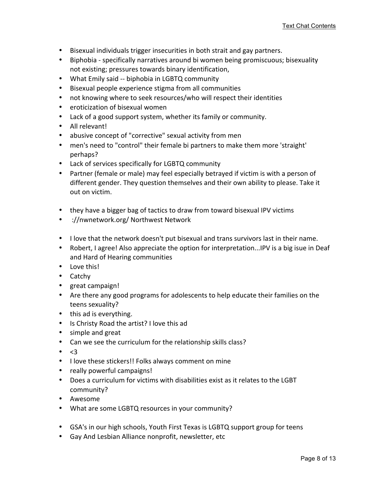- Bisexual individuals trigger insecurities in both strait and gay partners.
- Biphobia specifically narratives around bi women being promiscuous; bisexuality not existing; pressures towards binary identification,
- What Emily said -- biphobia in LGBTQ community
- Bisexual people experience stigma from all communities
- not knowing where to seek resources/who will respect their identities
- eroticization of bisexual women
- Lack of a good support system, whether its family or community.
- All relevant!
- abusive concept of "corrective" sexual activity from men
- men's need to "control" their female bi partners to make them more 'straight' perhaps?
- Lack of services specifically for LGBTQ community
- Partner (female or male) may feel especially betrayed if victim is with a person of different gender. They question themselves and their own ability to please. Take it out on victim.
- they have a bigger bag of tactics to draw from toward bisexual IPV victims
- ://nwnetwork.org/ Northwest Network
- I love that the network doesn't put bisexual and trans survivors last in their name.
- Robert, I agree! Also appreciate the option for interpretation...IPV is a big isue in Deaf and Hard of Hearing communities
- Love this!
- Catchy
- great campaign!
- Are there any good programs for adolescents to help educate their families on the teens sexuality?
- this ad is everything.
- Is Christy Road the artist? I love this ad
- simple and great
- Can we see the curriculum for the relationship skills class?
- $\bullet \quad \leq 3$
- I love these stickers!! Folks always comment on mine
- really powerful campaigns!
- Does a curriculum for victims with disabilities exist as it relates to the LGBT community?
- Awesome
- What are some LGBTQ resources in your community?
- GSA's in our high schools, Youth First Texas is LGBTQ support group for teens
- Gay And Lesbian Alliance nonprofit, newsletter, etc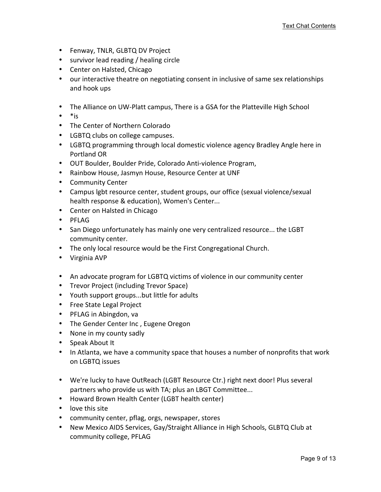- Fenway, TNLR, GLBTQ DV Project
- survivor lead reading / healing circle
- Center on Halsted, Chicago
- our interactive theatre on negotiating consent in inclusive of same sex relationships and hook ups
- The Alliance on UW-Platt campus, There is a GSA for the Platteville High School
- $\bullet$  \* is
- The Center of Northern Colorado
- LGBTQ clubs on college campuses.
- LGBTQ programming through local domestic violence agency Bradley Angle here in Portland OR
- OUT Boulder, Boulder Pride, Colorado Anti-violence Program,
- Rainbow House, Jasmyn House, Resource Center at UNF
- Community Center
- Campus lgbt resource center, student groups, our office (sexual violence/sexual health response & education), Women's Center...
- Center on Halsted in Chicago
- PFLAG
- San Diego unfortunately has mainly one very centralized resource... the LGBT community center.
- The only local resource would be the First Congregational Church.
- Virginia AVP
- An advocate program for LGBTQ victims of violence in our community center
- Trevor Project (including Trevor Space)
- Youth support groups...but little for adults
- Free State Legal Project
- PFLAG in Abingdon, va
- The Gender Center Inc, Eugene Oregon
- None in my county sadly
- Speak About It
- In Atlanta, we have a community space that houses a number of nonprofits that work on LGBTQ issues
- We're lucky to have OutReach (LGBT Resource Ctr.) right next door! Plus several partners who provide us with TA; plus an LBGT Committee...
- Howard Brown Health Center (LGBT health center)
- love this site
- community center, pflag, orgs, newspaper, stores
- New Mexico AIDS Services, Gay/Straight Alliance in High Schools, GLBTQ Club at community college, PFLAG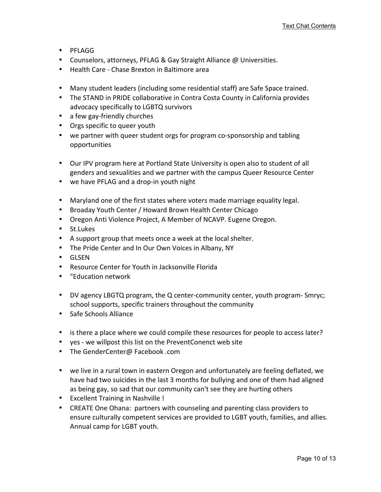- PFLAGG
- Counselors, attorneys, PFLAG & Gay Straight Alliance @ Universities.
- Health Care Chase Brexton in Baltimore area
- Many student leaders (including some residential staff) are Safe Space trained.
- The STAND in PRIDE collaborative in Contra Costa County in California provides advocacy specifically to LGBTQ survivors
- a few gay-friendly churches
- Orgs specific to queer youth
- we partner with queer student orgs for program co-sponsorship and tabling opportunities
- Our IPV program here at Portland State University is open also to student of all genders and sexualities and we partner with the campus Queer Resource Center
- we have PFLAG and a drop-in youth night
- Maryland one of the first states where voters made marriage equality legal.
- Broaday Youth Center / Howard Brown Health Center Chicago
- Oregon Anti Violence Project, A Member of NCAVP. Eugene Oregon.
- St.Lukes
- A support group that meets once a week at the local shelter.
- The Pride Center and In Our Own Voices in Albany, NY
- GLSEN
- Resource Center for Youth in Jacksonville Florida
- "Education network
- DV agency LBGTQ program, the Q center-community center, youth program- Smryc; school supports, specific trainers throughout the community
- Safe Schools Alliance
- is there a place where we could compile these resources for people to access later?
- yes we willpost this list on the PreventConenct web site
- The GenderCenter@ Facebook .com
- we live in a rural town in eastern Oregon and unfortunately are feeling deflated, we have had two suicides in the last 3 months for bullying and one of them had aligned as being gay, so sad that our community can't see they are hurting others
- Excellent Training in Nashville!
- CREATE One Ohana: partners with counseling and parenting class providers to ensure culturally competent services are provided to LGBT youth, families, and allies. Annual camp for LGBT youth.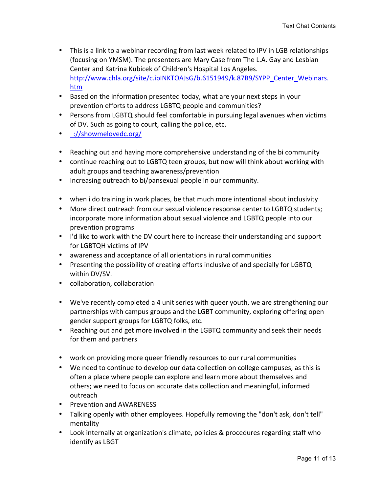- This is a link to a webinar recording from last week related to IPV in LGB relationships (focusing on YMSM). The presenters are Mary Case from The L.A. Gay and Lesbian Center and Katrina Kubicek of Children's Hospital Los Angeles. http://www.chla.org/site/c.ipINKTOAJsG/b.6151949/k.87B9/SYPP\_Center\_Webinars. htm
- Based on the information presented today, what are your next steps in your prevention efforts to address LGBTQ people and communities?
- Persons from LGBTQ should feel comfortable in pursuing legal avenues when victims of DV. Such as going to court, calling the police, etc.
- ://showmelovedc.org/
- Reaching out and having more comprehensive understanding of the bi community
- continue reaching out to LGBTQ teen groups, but now will think about working with adult groups and teaching awareness/prevention
- Increasing outreach to bi/pansexual people in our community.
- when i do training in work places, be that much more intentional about inclusivity
- More direct outreach from our sexual violence response center to LGBTQ students; incorporate more information about sexual violence and LGBTQ people into our prevention programs
- I'd like to work with the DV court here to increase their understanding and support for LGBTQH victims of IPV
- awareness and acceptance of all orientations in rural communities
- Presenting the possibility of creating efforts inclusive of and specially for LGBTQ within DV/SV.
- collaboration, collaboration
- We've recently completed a 4 unit series with queer youth, we are strengthening our partnerships with campus groups and the LGBT community, exploring offering open gender support groups for LGBTQ folks, etc.
- Reaching out and get more involved in the LGBTQ community and seek their needs for them and partners
- work on providing more queer friendly resources to our rural communities
- We need to continue to develop our data collection on college campuses, as this is often a place where people can explore and learn more about themselves and others; we need to focus on accurate data collection and meaningful, informed outreach
- Prevention and AWARENESS
- Talking openly with other employees. Hopefully removing the "don't ask, don't tell" mentality
- Look internally at organization's climate, policies & procedures regarding staff who identify as LBGT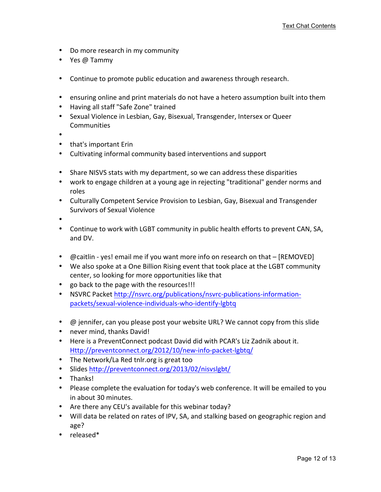- Do more research in my community
- Yes @ Tammy
- Continue to promote public education and awareness through research.
- ensuring online and print materials do not have a hetero assumption built into them
- Having all staff "Safe Zone" trained
- Sexual Violence in Lesbian, Gay, Bisexual, Transgender, Intersex or Queer Communities
- •
- that's important Erin
- Cultivating informal community based interventions and support
- Share NISVS stats with my department, so we can address these disparities
- work to engage children at a young age in rejecting "traditional" gender norms and roles
- Culturally Competent Service Provision to Lesbian, Gay, Bisexual and Transgender Survivors of Sexual Violence
- •
- Continue to work with LGBT community in public health efforts to prevent CAN, SA, and DV.
- @caitlin yes! email me if you want more info on research on that [REMOVED]
- We also spoke at a One Billion Rising event that took place at the LGBT community center, so looking for more opportunities like that
- go back to the page with the resources!!!
- NSVRC Packet http://nsvrc.org/publications/nsvrc-publications-informationpackets/sexual-violence-individuals-who-identify-lgbtq
- $\omega$  jennifer, can you please post your website URL? We cannot copy from this slide
- never mind, thanks David!
- Here is a PreventConnect podcast David did with PCAR's Liz Zadnik about it. Http://preventconnect.org/2012/10/new-info-packet-lgbtq/
- The Network/La Red tnlr.org is great too
- Slides http://preventconnect.org/2013/02/nisvslgbt/
- Thanks!
- Please complete the evaluation for today's web conference. It will be emailed to you in about 30 minutes.
- Are there any CEU's available for this webinar today?
- Will data be related on rates of IPV, SA, and stalking based on geographic region and age?
- released\*